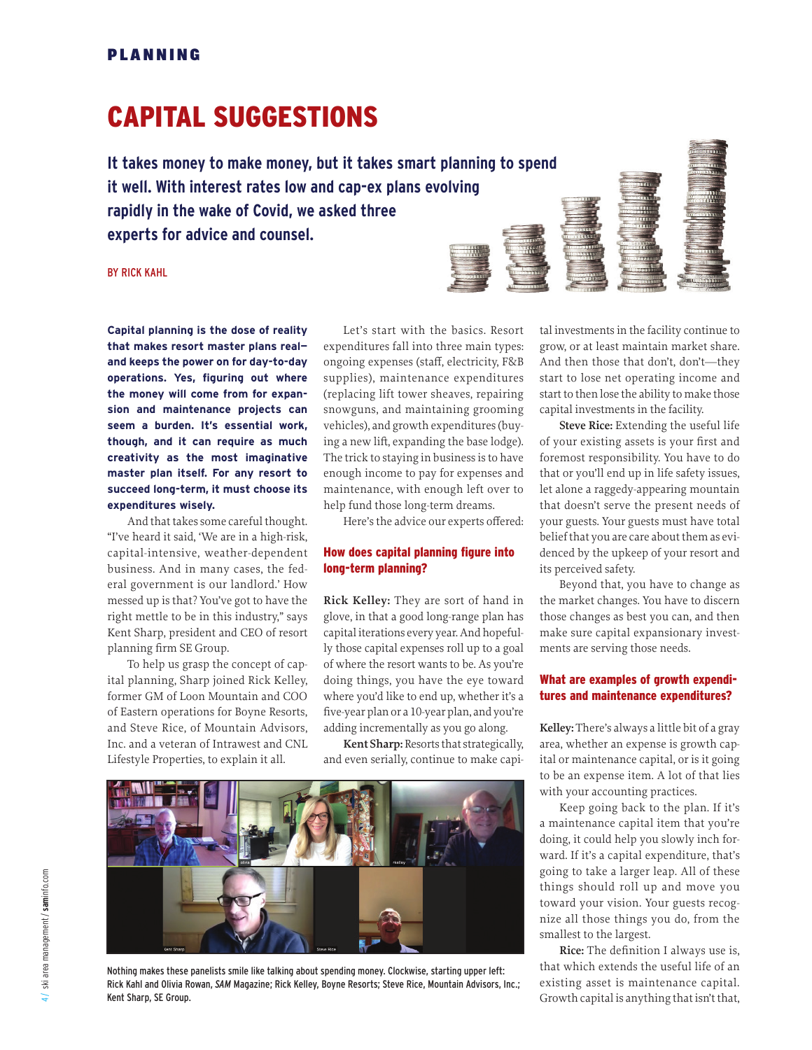# PLANNING

# CAPITAL SUGGESTIONS

**It takes money to make money, but it takes smart planning to spend it well. With interest rates low and cap-ex plans evolving rapidly in the wake of Covid, we asked three experts for advice and counsel.**

BY RICK KAHL

**Capital planning is the dose of reality that makes resort master plans real and keeps the power on for day-to-day operations. Yes, figuring out where the money will come from for expansion and maintenance projects can seem a burden. It's essential work, though, and it can require as much creativity as the most imaginative master plan itself. For any resort to succeed long-term, it must choose its expenditures wisely.**

And that takes some careful thought. "I've heard it said, 'We are in a high-risk, capital-intensive, weather-dependent business. And in many cases, the federal government is our landlord.' How messed up is that? You've got to have the right mettle to be in this industry," says Kent Sharp, president and CEO of resort planning firm SE Group.

To help us grasp the concept of capital planning, Sharp joined Rick Kelley, former GM of Loon Mountain and COO of Eastern operations for Boyne Resorts, and Steve Rice, of Mountain Advisors, Inc. and a veteran of Intrawest and CNL Lifestyle Properties, to explain it all.

Let's start with the basics. Resort expenditures fall into three main types: ongoing expenses (staff, electricity, F&B supplies), maintenance expenditures (replacing lift tower sheaves, repairing snowguns, and maintaining grooming vehicles), and growth expenditures (buying a new lift, expanding the base lodge). The trick to staying in business is to have enough income to pay for expenses and maintenance, with enough left over to help fund those long-term dreams.

Here's the advice our experts offered:

### How does capital planning figure into long-term planning?

**Rick Kelley:** They are sort of hand in glove, in that a good long-range plan has capital iterations every year. And hopefully those capital expenses roll up to a goal of where the resort wants to be. As you're doing things, you have the eye toward where you'd like to end up, whether it's a five-year plan or a 10-year plan, and you're adding incrementally as you go along.

**Kent Sharp:** Resorts that strategically, and even serially, continue to make capi-



Nothing makes these panelists smile like talking about spending money. Clockwise, starting upper left: Rick Kahl and Olivia Rowan, *SAM* Magazine; Rick Kelley, Boyne Resorts; Steve Rice, Mountain Advisors, Inc.; Kent Sharp, SE Group.

tal investments in the facility continue to grow, or at least maintain market share. And then those that don't, don't—they start to lose net operating income and start to then lose the ability to make those capital investments in the facility.

**Steve Rice:** Extending the useful life of your existing assets is your first and foremost responsibility. You have to do that or you'll end up in life safety issues, let alone a raggedy-appearing mountain that doesn't serve the present needs of your guests. Your guests must have total belief that you are care about them as evidenced by the upkeep of your resort and its perceived safety.

Beyond that, you have to change as the market changes. You have to discern those changes as best you can, and then make sure capital expansionary investments are serving those needs.

### What are examples of growth expenditures and maintenance expenditures?

**Kelley:** There's always a little bit of a gray area, whether an expense is growth capital or maintenance capital, or is it going to be an expense item. A lot of that lies with your accounting practices.

Keep going back to the plan. If it's a maintenance capital item that you're doing, it could help you slowly inch forward. If it's a capital expenditure, that's going to take a larger leap. All of these things should roll up and move you toward your vision. Your guests recognize all those things you do, from the smallest to the largest.

**Rice:** The definition I always use is, that which extends the useful life of an existing asset is maintenance capital. Growth capital is anything that isn't that,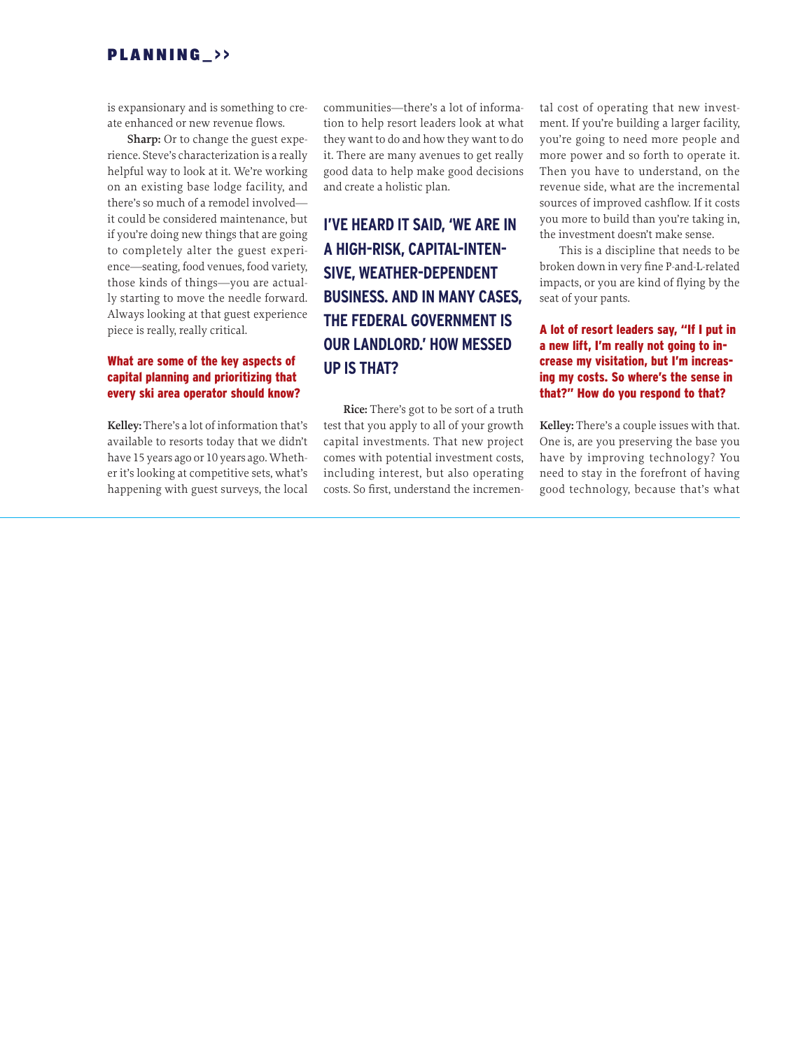# PLANNING\_>>

is expansionary and is something to create enhanced or new revenue flows.

**Sharp:** Or to change the guest experience. Steve's characterization is a really helpful way to look at it. We're working on an existing base lodge facility, and there's so much of a remodel involved it could be considered maintenance, but if you're doing new things that are going to completely alter the guest experience—seating, food venues, food variety, those kinds of things—you are actually starting to move the needle forward. Always looking at that guest experience piece is really, really critical.

### What are some of the key aspects of capital planning and prioritizing that every ski area operator should know?

**Kelley:** There's a lot of information that's available to resorts today that we didn't have 15 years ago or 10 years ago. Whether it's looking at competitive sets, what's happening with guest surveys, the local

communities—there's a lot of information to help resort leaders look at what they want to do and how they want to do it. There are many avenues to get really good data to help make good decisions and create a holistic plan.

**I'VE HEARD IT SAID, 'WE ARE IN A HIGH-RISK, CAPITAL-INTEN-SIVE, WEATHER-DEPENDENT BUSINESS. AND IN MANY CASES, THE FEDERAL GOVERNMENT IS OUR LANDLORD.' HOW MESSED UP IS THAT?**

**Rice:** There's got to be sort of a truth test that you apply to all of your growth capital investments. That new project comes with potential investment costs, including interest, but also operating costs. So first, understand the incremental cost of operating that new investment. If you're building a larger facility, you're going to need more people and more power and so forth to operate it. Then you have to understand, on the revenue side, what are the incremental sources of improved cashflow. If it costs you more to build than you're taking in, the investment doesn't make sense.

This is a discipline that needs to be broken down in very fine P-and-L-related impacts, or you are kind of flying by the seat of your pants.

### A lot of resort leaders say, "If I put in a new lift, I'm really not going to increase my visitation, but I'm increasing my costs. So where's the sense in that?" How do you respond to that?

**Kelley:** There's a couple issues with that. One is, are you preserving the base you have by improving technology? You need to stay in the forefront of having good technology, because that's what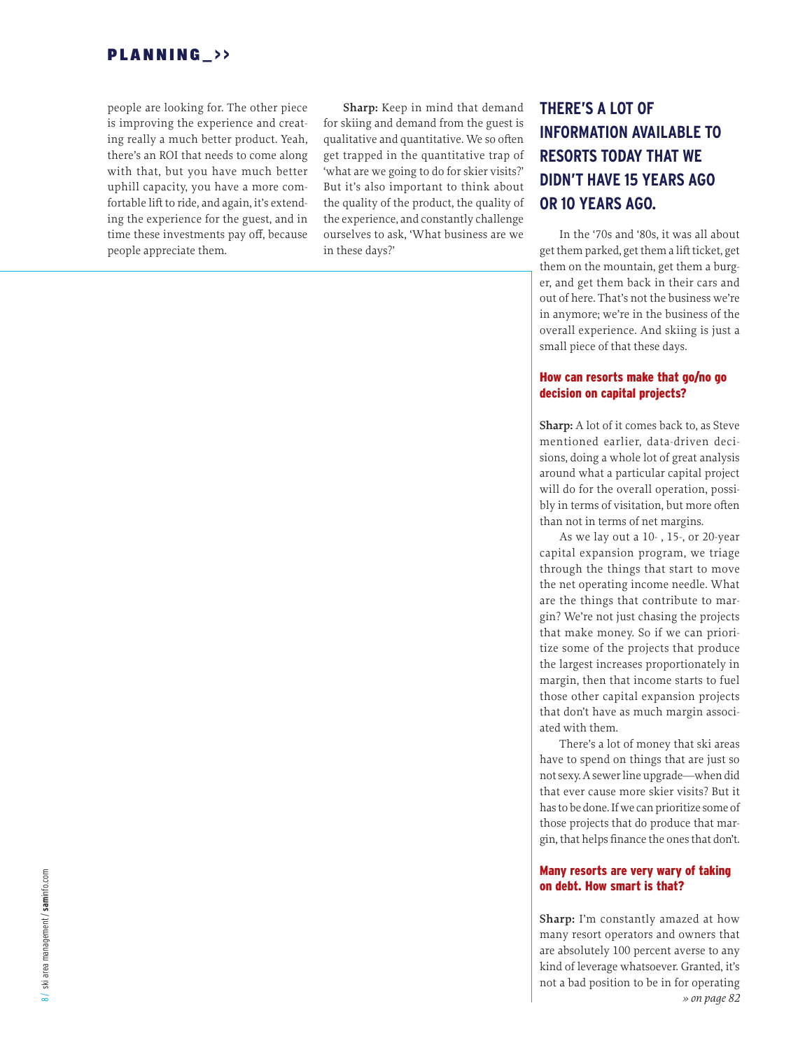people are looking for. The other piece is improving the experience and creating really a much better product. Yeah, there's an ROI that needs to come along with that, but you have much better uphill capacity, you have a more comfortable lift to ride, and again, it's extending the experience for the guest, and in time these investments pay off, because people appreciate them.

**Sharp:** Keep in mind that demand for skiing and demand from the guest is qualitative and quantitative. We so often get trapped in the quantitative trap of 'what are we going to do for skier visits?' But it's also important to think about the quality of the product, the quality of the experience, and constantly challenge ourselves to ask, 'What business are we in these days?'

# **THERE'S A LOT OF INFORMATION AVAILABLE TO RESORTS TODAY THAT WE DIDN'T HAVE 15 YEARS AGO OR 10 YEARS AGO.**

In the '70s and '80s, it was all about get them parked, get them a lift ticket, get them on the mountain, get them a burger, and get them back in their cars and out of here. That's not the business we're in anymore; we're in the business of the overall experience. And skiing is just a small piece of that these days.

## How can resorts make that go/no go decision on capital projects?

**Sharp:** A lot of it comes back to, as Steve mentioned earlier, data-driven decisions, doing a whole lot of great analysis around what a particular capital project will do for the overall operation, possibly in terms of visitation, but more often than not in terms of net margins.

As we lay out a 10- , 15-, or 20-year capital expansion program, we triage through the things that start to move the net operating income needle. What are the things that contribute to margin? We're not just chasing the projects that make money. So if we can prioritize some of the projects that produce the largest increases proportionately in margin, then that income starts to fuel those other capital expansion projects that don't have as much margin associated with them.

There's a lot of money that ski areas have to spend on things that are just so not sexy. A sewer line upgrade—when did that ever cause more skier visits? But it has to be done. If we can prioritize some of those projects that do produce that margin, that helps finance the ones that don't.

# Many resorts are very wary of taking on debt. How smart is that?

**Sharp:** I'm constantly amazed at how many resort operators and owners that are absolutely 100 percent averse to any kind of leverage whatsoever. Granted, it's not a bad position to be in for operating *» on page 82*